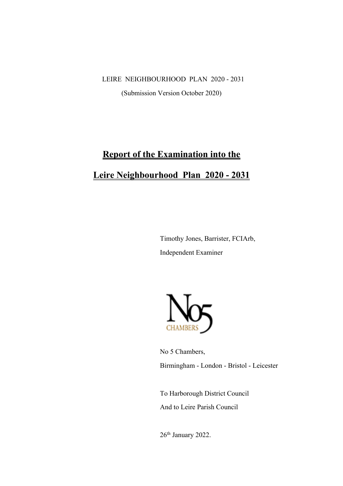LEIRE NEIGHBOURHOOD PLAN 2020 - 2031

(Submission Version October 2020)

# **Report of the Examination into the Leire Neighbourhood Plan 2020 - 2031**

Timothy Jones, Barrister, FCIArb, Independent Examiner



No 5 Chambers, Birmingham - London - Bristol - Leicester

To Harborough District Council And to Leire Parish Council

26<sup>th</sup> January 2022.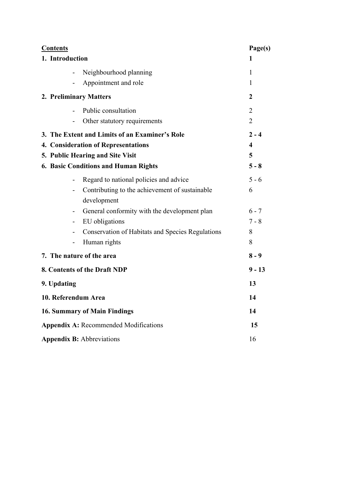| <b>Contents</b>                                         | Page(s)                 |
|---------------------------------------------------------|-------------------------|
| 1. Introduction                                         | 1                       |
| Neighbourhood planning                                  | 1                       |
| Appointment and role                                    | 1                       |
| 2. Preliminary Matters                                  | 2                       |
| Public consultation                                     | 2                       |
| Other statutory requirements                            | $\overline{2}$          |
| 3. The Extent and Limits of an Examiner's Role          | $2 - 4$                 |
| 4. Consideration of Representations                     | $\overline{\mathbf{4}}$ |
| 5. Public Hearing and Site Visit                        | 5                       |
| <b>6. Basic Conditions and Human Rights</b>             | $5 - 8$                 |
| Regard to national policies and advice                  | $5 - 6$                 |
| Contributing to the achievement of sustainable          | 6                       |
| development                                             |                         |
| General conformity with the development plan            | $6 - 7$                 |
| EU obligations<br>-                                     | $7 - 8$                 |
| <b>Conservation of Habitats and Species Regulations</b> | 8                       |
| Human rights                                            | 8                       |
| 7. The nature of the area                               | $8 - 9$                 |
| 8. Contents of the Draft NDP                            | $9 - 13$                |
| 9. Updating                                             | 13                      |
| 10. Referendum Area                                     | 14                      |
| <b>16. Summary of Main Findings</b>                     |                         |
| <b>Appendix A: Recommended Modifications</b>            |                         |
| <b>Appendix B: Abbreviations</b>                        |                         |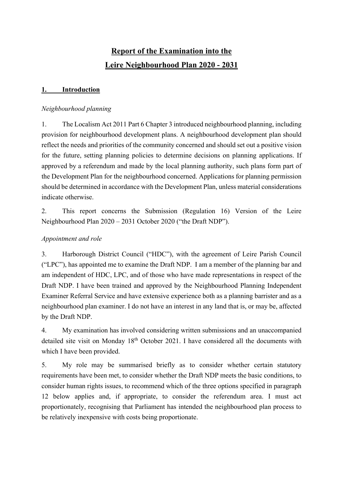# **Report of the Examination into the Leire Neighbourhood Plan 2020 - 2031**

# **1. Introduction**

#### *Neighbourhood planning*

1. The Localism Act 2011 Part 6 Chapter 3 introduced neighbourhood planning, including provision for neighbourhood development plans. A neighbourhood development plan should reflect the needs and priorities of the community concerned and should set out a positive vision for the future, setting planning policies to determine decisions on planning applications. If approved by a referendum and made by the local planning authority, such plans form part of the Development Plan for the neighbourhood concerned. Applications for planning permission should be determined in accordance with the Development Plan, unless material considerations indicate otherwise.

2. This report concerns the Submission (Regulation 16) Version of the Leire Neighbourhood Plan 2020 – 2031 October 2020 ("the Draft NDP").

#### *Appointment and role*

3. Harborough District Council ("HDC"), with the agreement of Leire Parish Council ("LPC"), has appointed me to examine the Draft NDP. I am a member of the planning bar and am independent of HDC, LPC, and of those who have made representations in respect of the Draft NDP. I have been trained and approved by the Neighbourhood Planning Independent Examiner Referral Service and have extensive experience both as a planning barrister and as a neighbourhood plan examiner. I do not have an interest in any land that is, or may be, affected by the Draft NDP.

4. My examination has involved considering written submissions and an unaccompanied detailed site visit on Monday  $18<sup>th</sup>$  October 2021. I have considered all the documents with which I have been provided.

5. My role may be summarised briefly as to consider whether certain statutory requirements have been met, to consider whether the Draft NDP meets the basic conditions, to consider human rights issues, to recommend which of the three options specified in paragraph 12 below applies and, if appropriate, to consider the referendum area. I must act proportionately, recognising that Parliament has intended the neighbourhood plan process to be relatively inexpensive with costs being proportionate.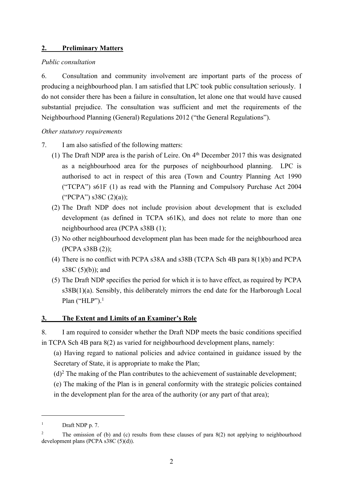#### **2. Preliminary Matters**

#### *Public consultation*

6. Consultation and community involvement are important parts of the process of producing a neighbourhood plan. I am satisfied that LPC took public consultation seriously. I do not consider there has been a failure in consultation, let alone one that would have caused substantial prejudice. The consultation was sufficient and met the requirements of the Neighbourhood Planning (General) Regulations 2012 ("the General Regulations").

#### *Other statutory requirements*

- 7. I am also satisfied of the following matters:
	- (1) The Draft NDP area is the parish of Leire. On 4th December 2017 this was designated as a neighbourhood area for the purposes of neighbourhood planning. LPC is authorised to act in respect of this area (Town and Country Planning Act 1990 ("TCPA") s61F (1) as read with the Planning and Compulsory Purchase Act 2004 ("PCPA") s38C (2)(a));
	- (2) The Draft NDP does not include provision about development that is excluded development (as defined in TCPA s61K), and does not relate to more than one neighbourhood area (PCPA s38B (1);
	- (3) No other neighbourhood development plan has been made for the neighbourhood area (PCPA s38B (2));
	- (4) There is no conflict with PCPA s38A and s38B (TCPA Sch 4B para 8(1)(b) and PCPA s38C $(5)(b)$ ; and
	- (5) The Draft NDP specifies the period for which it is to have effect, as required by PCPA s38B(1)(a). Sensibly, this deliberately mirrors the end date for the Harborough Local Plan ("HLP").<sup>1</sup>

#### **3. The Extent and Limits of an Examiner's Role**

8. I am required to consider whether the Draft NDP meets the basic conditions specified

in TCPA Sch 4B para 8(2) as varied for neighbourhood development plans, namely:

(a) Having regard to national policies and advice contained in guidance issued by the Secretary of State, it is appropriate to make the Plan;

 $(d)^2$  The making of the Plan contributes to the achievement of sustainable development;

(e) The making of the Plan is in general conformity with the strategic policies contained in the development plan for the area of the authority (or any part of that area);

 $1$  Draft NDP p. 7.

<sup>&</sup>lt;sup>2</sup> The omission of (b) and (c) results from these clauses of para 8(2) not applying to neighbourhood development plans (PCPA s38C (5)(d)).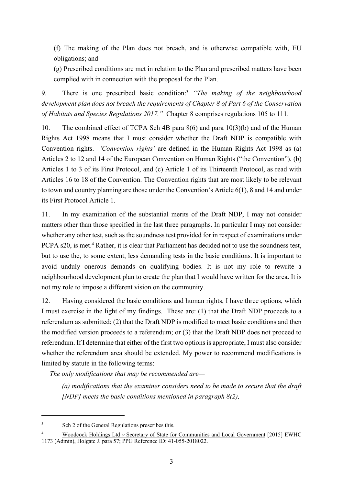(f) The making of the Plan does not breach, and is otherwise compatible with, EU obligations; and

(g) Prescribed conditions are met in relation to the Plan and prescribed matters have been complied with in connection with the proposal for the Plan.

9. There is one prescribed basic condition:3 *"The making of the neighbourhood development plan does not breach the requirements of Chapter 8 of Part 6 of the Conservation of Habitats and Species Regulations 2017."* Chapter 8 comprises regulations 105 to 111.

10. The combined effect of TCPA Sch 4B para 8(6) and para 10(3)(b) and of the Human Rights Act 1998 means that I must consider whether the Draft NDP is compatible with Convention rights. *'Convention rights'* are defined in the Human Rights Act 1998 as (a) Articles 2 to 12 and 14 of the European Convention on Human Rights ("the Convention"), (b) Articles 1 to 3 of its First Protocol, and (c) Article 1 of its Thirteenth Protocol, as read with Articles 16 to 18 of the Convention. The Convention rights that are most likely to be relevant to town and country planning are those under the Convention's Article 6(1), 8 and 14 and under its First Protocol Article 1.

11. In my examination of the substantial merits of the Draft NDP, I may not consider matters other than those specified in the last three paragraphs. In particular I may not consider whether any other test, such as the soundness test provided for in respect of examinations under PCPA s20, is met.<sup>4</sup> Rather, it is clear that Parliament has decided not to use the soundness test, but to use the, to some extent, less demanding tests in the basic conditions. It is important to avoid unduly onerous demands on qualifying bodies. It is not my role to rewrite a neighbourhood development plan to create the plan that I would have written for the area. It is not my role to impose a different vision on the community.

12. Having considered the basic conditions and human rights, I have three options, which I must exercise in the light of my findings. These are: (1) that the Draft NDP proceeds to a referendum as submitted; (2) that the Draft NDP is modified to meet basic conditions and then the modified version proceeds to a referendum; or (3) that the Draft NDP does not proceed to referendum. If I determine that either of the first two options is appropriate, I must also consider whether the referendum area should be extended. My power to recommend modifications is limited by statute in the following terms:

*The only modifications that may be recommended are—*

*(a) modifications that the examiner considers need to be made to secure that the draft [NDP] meets the basic conditions mentioned in paragraph 8(2),*

<sup>&</sup>lt;sup>3</sup> Sch 2 of the General Regulations prescribes this.

<sup>4</sup> Woodcock Holdings Ltd *v* Secretary of State for Communities and Local Government [2015] EWHC 1173 (Admin), Holgate J. para 57; PPG Reference ID: 41-055-2018022.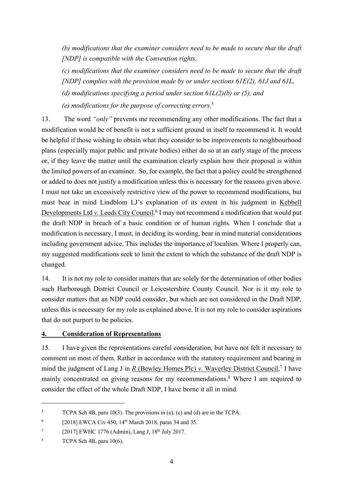*(b) modifications that the examiner considers need to be made to secure that the draft [NDP] is compatible with the Convention rights,*

*(c) modifications that the examiner considers need to be made to secure that the draft [NDP] complies with the provision made by or under sections 61E(2), 61J and 61L,*

*(d) modifications specifying a period under section 61L(2)(b) or (5), and*

*(e) modifications for the purpose of correcting errors.*<sup>5</sup>

13. The word *"only"* prevents me recommending any other modifications. The fact that a modification would be of benefit is not a sufficient ground in itself to recommend it. It would be helpful if those wishing to obtain what they consider to be improvements to neighbourhood plans (especially major public and private bodies) either do so at an early stage of the process or, if they leave the matter until the examination clearly explain how their proposal is within the limited powers of an examiner. So, for example, the fact that a policy could be strengthened or added to does not justify a modification unless this is necessary for the reasons given above. I must not take an excessively restrictive view of the power to recommend modifications, but must bear in mind Lindblom LJ's explanation of its extent in his judgment in Kebbell Developments Ltd *v.* Leeds City Council. <sup>6</sup> I may not recommend a modification that would put the draft NDP in breach of a basic condition or of human rights. When I conclude that a modification is necessary, I must, in deciding its wording, bear in mind material considerations including government advice. This includes the importance of localism. Where I properly can, my suggested modifications seek to limit the extent to which the substance of the draft NDP is changed.

14. It is not my role to consider matters that are solely for the determination of other bodies such Harborough District Council or Leicestershire County Council. Nor is it my role to consider matters that an NDP could consider, but which are not considered in the Draft NDP, unless this is necessary for my role as explained above. It is not my role to consider aspirations that do not purport to be policies.

# **4. Consideration of Representations**

15. I have given the representations careful consideration, but have not felt it necessary to comment on most of them. Rather in accordance with the statutory requirement and bearing in mind the judgment of Lang J in *R* (Bewley Homes Plc) *v*. Waverley District Council,<sup>7</sup> I have mainly concentrated on giving reasons for my recommendations.8 Where I am required to consider the effect of the whole Draft NDP, I have borne it all in mind.

<sup>&</sup>lt;sup>5</sup> TCPA Sch 4B, para 10(3). The provisions in (a), (c) and (d) are in the TCPA.

 $6$  [2018] EWCA Civ 450, 14<sup>th</sup> March 2018, paras 34 and 35.

 $7$  [2017] EWHC 1776 (Admin), Lang J, 18<sup>th</sup> July 2017.

<sup>&</sup>lt;sup>8</sup> TCPA Sch 4B, para  $10(6)$ .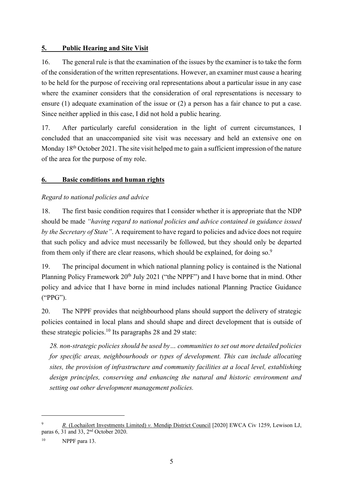#### **5. Public Hearing and Site Visit**

16. The general rule is that the examination of the issues by the examiner is to take the form of the consideration of the written representations. However, an examiner must cause a hearing to be held for the purpose of receiving oral representations about a particular issue in any case where the examiner considers that the consideration of oral representations is necessary to ensure (1) adequate examination of the issue or (2) a person has a fair chance to put a case. Since neither applied in this case, I did not hold a public hearing.

17. After particularly careful consideration in the light of current circumstances, I concluded that an unaccompanied site visit was necessary and held an extensive one on Monday 18<sup>th</sup> October 2021. The site visit helped me to gain a sufficient impression of the nature of the area for the purpose of my role.

#### **6. Basic conditions and human rights**

#### *Regard to national policies and advice*

18. The first basic condition requires that I consider whether it is appropriate that the NDP should be made *"having regard to national policies and advice contained in guidance issued by the Secretary of State"*. A requirement to have regard to policies and advice does not require that such policy and advice must necessarily be followed, but they should only be departed from them only if there are clear reasons, which should be explained, for doing so.<sup>9</sup>

19. The principal document in which national planning policy is contained is the National Planning Policy Framework 20<sup>th</sup> July 2021 ("the NPPF") and I have borne that in mind. Other policy and advice that I have borne in mind includes national Planning Practice Guidance ("PPG").

20. The NPPF provides that neighbourhood plans should support the delivery of strategic policies contained in local plans and should shape and direct development that is outside of these strategic policies.<sup>10</sup> Its paragraphs 28 and 29 state:

*28. non-strategic policies should be used by… communities to set out more detailed policies for specific areas, neighbourhoods or types of development. This can include allocating sites, the provision of infrastructure and community facilities at a local level, establishing design principles, conserving and enhancing the natural and historic environment and setting out other development management policies.* 

<sup>9</sup> *R.* (Lochailort Investments Limited) *v.* Mendip District Council [2020] EWCA Civ 1259, Lewison LJ, paras 6, 31 and 33, 2nd October 2020.

 $^{10}$  NPPF para 13.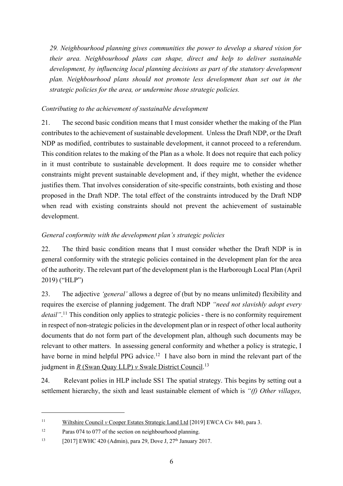*29. Neighbourhood planning gives communities the power to develop a shared vision for their area. Neighbourhood plans can shape, direct and help to deliver sustainable development, by influencing local planning decisions as part of the statutory development plan. Neighbourhood plans should not promote less development than set out in the strategic policies for the area, or undermine those strategic policies.*

# *Contributing to the achievement of sustainable development*

21. The second basic condition means that I must consider whether the making of the Plan contributes to the achievement of sustainable development. Unless the Draft NDP, or the Draft NDP as modified, contributes to sustainable development, it cannot proceed to a referendum. This condition relates to the making of the Plan as a whole. It does not require that each policy in it must contribute to sustainable development. It does require me to consider whether constraints might prevent sustainable development and, if they might, whether the evidence justifies them. That involves consideration of site-specific constraints, both existing and those proposed in the Draft NDP. The total effect of the constraints introduced by the Draft NDP when read with existing constraints should not prevent the achievement of sustainable development.

# *General conformity with the development plan's strategic policies*

22. The third basic condition means that I must consider whether the Draft NDP is in general conformity with the strategic policies contained in the development plan for the area of the authority. The relevant part of the development plan is the Harborough Local Plan (April 2019) ("HLP")

23. The adjective *'general'* allows a degree of (but by no means unlimited) flexibility and requires the exercise of planning judgement. The draft NDP *"need not slavishly adopt every*  detail".<sup>11</sup> This condition only applies to strategic policies - there is no conformity requirement in respect of non-strategic policies in the development plan or in respect of other local authority documents that do not form part of the development plan, although such documents may be relevant to other matters. In assessing general conformity and whether a policy is strategic, I have borne in mind helpful PPG advice.<sup>12</sup> I have also born in mind the relevant part of the judgment in *R* (Swan Quay LLP) *v* Swale District Council. 13

24. Relevant polies in HLP include SS1 The spatial strategy. This begins by setting out a settlement hierarchy, the sixth and least sustainable element of which is *"(f) Other villages,* 

<sup>11</sup> Wiltshire Council *v* Cooper Estates Strategic Land Ltd [2019] EWCA Civ 840, para 3.

<sup>&</sup>lt;sup>12</sup> Paras 074 to 077 of the section on neighbourhood planning.

<sup>&</sup>lt;sup>13</sup> [2017] EWHC 420 (Admin), para 29, Dove J,  $27<sup>th</sup>$  January 2017.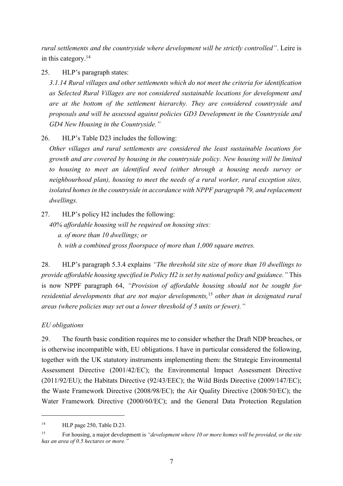*rural settlements and the countryside where development will be strictly controlled"*. Leire is in this category.14

25. HLP's paragraph states:

*3.1.14 Rural villages and other settlements which do not meet the criteria for identification as Selected Rural Villages are not considered sustainable locations for development and are at the bottom of the settlement hierarchy. They are considered countryside and proposals and will be assessed against policies GD3 Development in the Countryside and GD4 New Housing in the Countryside."*

26. HLP's Table D23 includes the following:

*Other villages and rural settlements are considered the least sustainable locations for growth and are covered by housing in the countryside policy. New housing will be limited to housing to meet an identified need (either through a housing needs survey or neighbourhood plan), housing to meet the needs of a rural worker, rural exception sites, isolated homes in the countryside in accordance with NPPF paragraph 79, and replacement dwellings.*

27. HLP's policy H2 includes the following: *40% affordable housing will be required on housing sites: a. of more than 10 dwellings; or b. with a combined gross floorspace of more than 1,000 square metres.*

28. HLP's paragraph 5.3.4 explains *"The threshold site size of more than 10 dwellings to provide affordable housing specified in Policy H2 is set by national policy and guidance."* This is now NPPF paragraph 64, *"Provision of affordable housing should not be sought for residential developments that are not major developments,*<sup>15</sup> *other than in designated rural areas (where policies may set out a lower threshold of 5 units or fewer)."*

# *EU obligations*

29. The fourth basic condition requires me to consider whether the Draft NDP breaches, or is otherwise incompatible with, EU obligations. I have in particular considered the following, together with the UK statutory instruments implementing them: the Strategic Environmental Assessment Directive (2001/42/EC); the Environmental Impact Assessment Directive (2011/92/EU); the Habitats Directive (92/43/EEC); the Wild Birds Directive (2009/147/EC); the Waste Framework Directive (2008/98/EC); the Air Quality Directive (2008/50/EC); the Water Framework Directive (2000/60/EC); and the General Data Protection Regulation

<sup>&</sup>lt;sup>14</sup> HLP page 250, Table D.23.

<sup>15</sup> For housing, a major development is *"development where 10 or more homes will be provided, or the site has an area of 0.5 hectares or more."*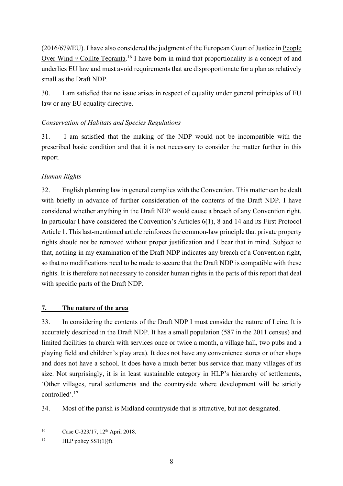(2016/679/EU). I have also considered the judgment of the European Court of Justice in People Over Wind *v* Coillte Teoranta.<sup>16</sup> I have born in mind that proportionality is a concept of and underlies EU law and must avoid requirements that are disproportionate for a plan as relatively small as the Draft NDP.

30. I am satisfied that no issue arises in respect of equality under general principles of EU law or any EU equality directive.

# *Conservation of Habitats and Species Regulations*

31. I am satisfied that the making of the NDP would not be incompatible with the prescribed basic condition and that it is not necessary to consider the matter further in this report.

#### *Human Rights*

32. English planning law in general complies with the Convention. This matter can be dealt with briefly in advance of further consideration of the contents of the Draft NDP. I have considered whether anything in the Draft NDP would cause a breach of any Convention right. In particular I have considered the Convention's Articles 6(1), 8 and 14 and its First Protocol Article 1. This last-mentioned article reinforces the common-law principle that private property rights should not be removed without proper justification and I bear that in mind. Subject to that, nothing in my examination of the Draft NDP indicates any breach of a Convention right, so that no modifications need to be made to secure that the Draft NDP is compatible with these rights. It is therefore not necessary to consider human rights in the parts of this report that deal with specific parts of the Draft NDP.

#### **7. The nature of the area**

33. In considering the contents of the Draft NDP I must consider the nature of Leire. It is accurately described in the Draft NDP. It has a small population (587 in the 2011 census) and limited facilities (a church with services once or twice a month, a village hall, two pubs and a playing field and children's play area). It does not have any convenience stores or other shops and does not have a school. It does have a much better bus service than many villages of its size. Not surprisingly, it is in least sustainable category in HLP's hierarchy of settlements, 'Other villages, rural settlements and the countryside where development will be strictly controlled'. 17

34. Most of the parish is Midland countryside that is attractive, but not designated.

<sup>&</sup>lt;sup>16</sup> Case C-323/17, 12<sup>th</sup> April 2018.

<sup>&</sup>lt;sup>17</sup> HLP policy SS1(1)(f).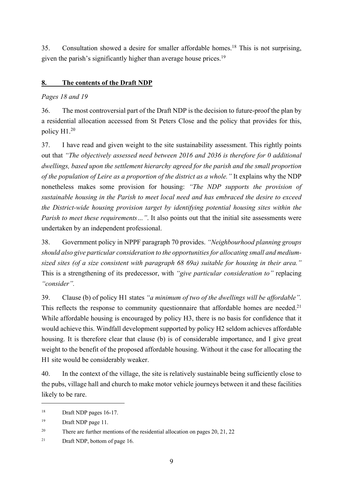35. Consultation showed a desire for smaller affordable homes.<sup>18</sup> This is not surprising, given the parish's significantly higher than average house prices.<sup>19</sup>

# **8. The contents of the Draft NDP**

#### *Pages 18 and 19*

36. The most controversial part of the Draft NDP is the decision to future-proof the plan by a residential allocation accessed from St Peters Close and the policy that provides for this, policy H1.20

37. I have read and given weight to the site sustainability assessment. This rightly points out that *"The objectively assessed need between 2016 and 2036 is therefore for 0 additional dwellings, based upon the settlement hierarchy agreed for the parish and the small proportion of the population of Leire as a proportion of the district as a whole."* It explains why the NDP nonetheless makes some provision for housing: *"The NDP supports the provision of sustainable housing in the Parish to meet local need and has embraced the desire to exceed the District-wide housing provision target by identifying potential housing sites within the Parish to meet these requirements...*". It also points out that the initial site assessments were undertaken by an independent professional.

38. Government policy in NPPF paragraph 70 provides. *"Neighbourhood planning groups should also give particular consideration to the opportunities for allocating small and mediumsized sites (of a size consistent with paragraph 68 69a) suitable for housing in their area."* This is a strengthening of its predecessor, with *"give particular consideration to"* replacing *"consider".*

39. Clause (b) of policy H1 states *"a minimum of two of the dwellings will be affordable".* This reflects the response to community questionnaire that affordable homes are needed.<sup>21</sup> While affordable housing is encouraged by policy H3, there is no basis for confidence that it would achieve this. Windfall development supported by policy H2 seldom achieves affordable housing. It is therefore clear that clause (b) is of considerable importance, and I give great weight to the benefit of the proposed affordable housing. Without it the case for allocating the H1 site would be considerably weaker.

40. In the context of the village, the site is relatively sustainable being sufficiently close to the pubs, village hall and church to make motor vehicle journeys between it and these facilities likely to be rare.

<sup>&</sup>lt;sup>18</sup> Draft NDP pages 16-17.

<sup>19</sup> Draft NDP page 11.

<sup>&</sup>lt;sup>20</sup> There are further mentions of the residential allocation on pages  $20$ ,  $21$ ,  $22$ 

<sup>21</sup> Draft NDP, bottom of page 16.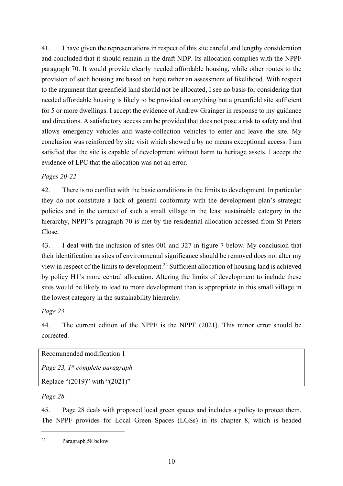41. I have given the representations in respect of this site careful and lengthy consideration and concluded that it should remain in the draft NDP. Its allocation complies with the NPPF paragraph 70. It would provide clearly needed affordable housing, while other routes to the provision of such housing are based on hope rather an assessment of likelihood. With respect to the argument that greenfield land should not be allocated, I see no basis for considering that needed affordable housing is likely to be provided on anything but a greenfield site sufficient for 5 or more dwellings. I accept the evidence of Andrew Grainger in response to my guidance and directions. A satisfactory access can be provided that does not pose a risk to safety and that allows emergency vehicles and waste-collection vehicles to enter and leave the site. My conclusion was reinforced by site visit which showed a by no means exceptional access. I am satisfied that the site is capable of development without harm to heritage assets. I accept the evidence of LPC that the allocation was not an error.

#### *Pages 20-22*

42. There is no conflict with the basic conditions in the limits to development. In particular they do not constitute a lack of general conformity with the development plan's strategic policies and in the context of such a small village in the least sustainable category in the hierarchy, NPPF's paragraph 70 is met by the residential allocation accessed from St Peters Close.

43. I deal with the inclusion of sites 001 and 327 in figure 7 below. My conclusion that their identification as sites of environmental significance should be removed does not alter my view in respect of the limits to development.22 Sufficient allocation of housing land is achieved by policy H1's more central allocation. Altering the limits of development to include these sites would be likely to lead to more development than is appropriate in this small village in the lowest category in the sustainability hierarchy.

# *Page 23*

44. The current edition of the NPPF is the NPPF (2021). This minor error should be corrected.

Recommended modification 1

*Page 23, 1st complete paragraph* 

Replace "(2019)" with "(2021)"

# *Page 28*

45. Page 28 deals with proposed local green spaces and includes a policy to protect them. The NPPF provides for Local Green Spaces (LGSs) in its chapter 8, which is headed

<sup>22</sup> Paragraph 58 below.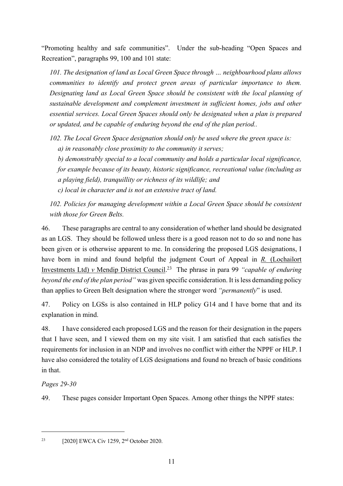"Promoting healthy and safe communities". Under the sub-heading "Open Spaces and Recreation", paragraphs 99, 100 and 101 state:

*101. The designation of land as Local Green Space through … neighbourhood plans allows communities to identify and protect green areas of particular importance to them. Designating land as Local Green Space should be consistent with the local planning of sustainable development and complement investment in sufficient homes, jobs and other essential services. Local Green Spaces should only be designated when a plan is prepared or updated, and be capable of enduring beyond the end of the plan period..* 

*102. The Local Green Space designation should only be used where the green space is:* 

*a) in reasonably close proximity to the community it serves;* 

*b) demonstrably special to a local community and holds a particular local significance, for example because of its beauty, historic significance, recreational value (including as a playing field), tranquillity or richness of its wildlife; and*

*c) local in character and is not an extensive tract of land.*

*102. Policies for managing development within a Local Green Space should be consistent with those for Green Belts.*

46. These paragraphs are central to any consideration of whether land should be designated as an LGS. They should be followed unless there is a good reason not to do so and none has been given or is otherwise apparent to me. In considering the proposed LGS designations, I have born in mind and found helpful the judgment Court of Appeal in *R.* (Lochailort Investments Ltd) *v* Mendip District Council. 23 The phrase in para 99 *"capable of enduring beyond the end of the plan period"* was given specific consideration. It is less demanding policy than applies to Green Belt designation where the stronger word *"permanently*" is used.

47. Policy on LGSs is also contained in HLP policy G14 and I have borne that and its explanation in mind.

48. I have considered each proposed LGS and the reason for their designation in the papers that I have seen, and I viewed them on my site visit. I am satisfied that each satisfies the requirements for inclusion in an NDP and involves no conflict with either the NPPF or HLP. I have also considered the totality of LGS designations and found no breach of basic conditions in that.

# *Pages 29-30*

49. These pages consider Important Open Spaces. Among other things the NPPF states:

<sup>&</sup>lt;sup>23</sup> [2020] EWCA Civ 1259,  $2<sup>nd</sup>$  October 2020.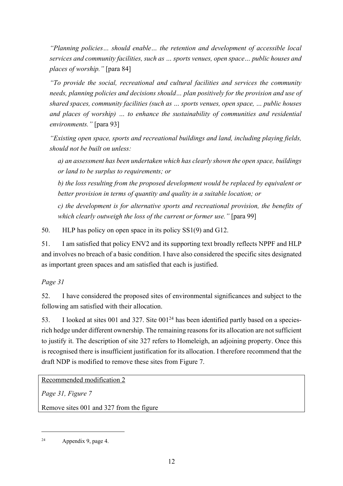*"Planning policies… should enable… the retention and development of accessible local services and community facilities, such as … sports venues, open space… public houses and places of worship."* [para 84]

*"To provide the social, recreational and cultural facilities and services the community needs, planning policies and decisions should… plan positively for the provision and use of shared spaces, community facilities (such as … sports venues, open space, … public houses and places of worship) … to enhance the sustainability of communities and residential environments."* [para 93]

*"Existing open space, sports and recreational buildings and land, including playing fields, should not be built on unless:*

*a) an assessment has been undertaken which has clearly shown the open space, buildings or land to be surplus to requirements; or*

*b) the loss resulting from the proposed development would be replaced by equivalent or better provision in terms of quantity and quality in a suitable location; or*

*c) the development is for alternative sports and recreational provision, the benefits of which clearly outweigh the loss of the current or former use."* [para 99]

50. HLP has policy on open space in its policy SS1(9) and G12.

51. I am satisfied that policy ENV2 and its supporting text broadly reflects NPPF and HLP and involves no breach of a basic condition. I have also considered the specific sites designated as important green spaces and am satisfied that each is justified.

*Page 31*

52. I have considered the proposed sites of environmental significances and subject to the following am satisfied with their allocation.

53. I looked at sites 001 and 327. Site  $0.01^{24}$  has been identified partly based on a speciesrich hedge under different ownership. The remaining reasons for its allocation are not sufficient to justify it. The description of site 327 refers to Homeleigh, an adjoining property. Once this is recognised there is insufficient justification for its allocation. I therefore recommend that the draft NDP is modified to remove these sites from Figure 7.

Recommended modification 2

*Page 31, Figure 7*

Remove sites 001 and 327 from the figure

<sup>24</sup> Appendix 9, page 4.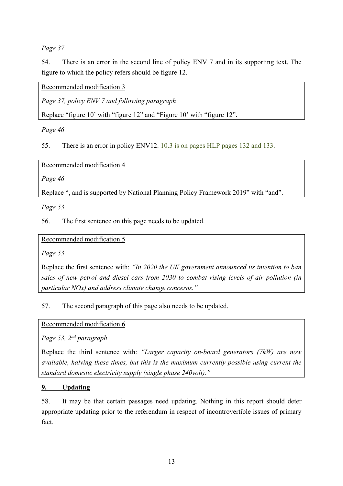*Page 37*

54. There is an error in the second line of policy ENV 7 and in its supporting text. The figure to which the policy refers should be figure 12.

Recommended modification 3

*Page 37, policy ENV 7 and following paragraph*

Replace "figure 10' with "figure 12" and "Figure 10' with "figure 12".

*Page 46*

55. There is an error in policy ENV12. 10.3 is on pages HLP pages 132 and 133.

Recommended modification 4

*Page 46*

Replace ", and is supported by National Planning Policy Framework 2019" with "and".

*Page 53*

56. The first sentence on this page needs to be updated.

Recommended modification 5

*Page 53* 

Replace the first sentence with: *"In 2020 the UK government announced its intention to ban sales of new petrol and diesel cars from 2030 to combat rising levels of air pollution (in particular NOx) and address climate change concerns."*

57. The second paragraph of this page also needs to be updated.

Recommended modification 6

*Page 53, 2nd paragraph* 

Replace the third sentence with: *"Larger capacity on-board generators (7kW) are now available, halving these times, but this is the maximum currently possible using current the standard domestic electricity supply (single phase 240volt)."*

#### **9. Updating**

58. It may be that certain passages need updating. Nothing in this report should deter appropriate updating prior to the referendum in respect of incontrovertible issues of primary fact.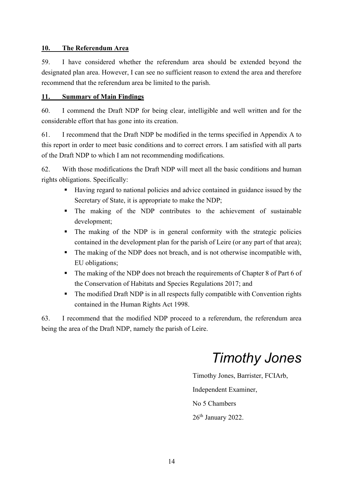#### **10. The Referendum Area**

59. I have considered whether the referendum area should be extended beyond the designated plan area. However, I can see no sufficient reason to extend the area and therefore recommend that the referendum area be limited to the parish.

#### **11. Summary of Main Findings**

60. I commend the Draft NDP for being clear, intelligible and well written and for the considerable effort that has gone into its creation.

61. I recommend that the Draft NDP be modified in the terms specified in Appendix A to this report in order to meet basic conditions and to correct errors. I am satisfied with all parts of the Draft NDP to which I am not recommending modifications.

62. With those modifications the Draft NDP will meet all the basic conditions and human rights obligations. Specifically:

- Having regard to national policies and advice contained in guidance issued by the Secretary of State, it is appropriate to make the NDP;
- § The making of the NDP contributes to the achievement of sustainable development;
- The making of the NDP is in general conformity with the strategic policies contained in the development plan for the parish of Leire (or any part of that area);
- The making of the NDP does not breach, and is not otherwise incompatible with, EU obligations;
- The making of the NDP does not breach the requirements of Chapter 8 of Part 6 of the Conservation of Habitats and Species Regulations 2017; and
- The modified Draft NDP is in all respects fully compatible with Convention rights contained in the Human Rights Act 1998.

63. I recommend that the modified NDP proceed to a referendum, the referendum area being the area of the Draft NDP, namely the parish of Leire.

# *Timothy Jones*

Timothy Jones, Barrister, FCIArb, Independent Examiner, No 5 Chambers 26<sup>th</sup> January 2022.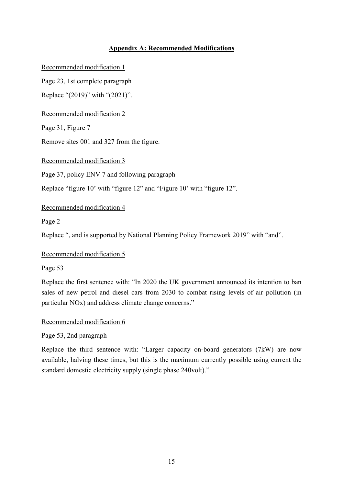#### **Appendix A: Recommended Modifications**

Recommended modification 1

Page 23, 1st complete paragraph

Replace "(2019)" with "(2021)".

Recommended modification 2

Page 31, Figure 7

Remove sites 001 and 327 from the figure.

Recommended modification 3

Page 37, policy ENV 7 and following paragraph

Replace "figure 10' with "figure 12" and "Figure 10' with "figure 12".

Recommended modification 4

Page 2

Replace ", and is supported by National Planning Policy Framework 2019" with "and".

Recommended modification 5

Page 53

Replace the first sentence with: "In 2020 the UK government announced its intention to ban sales of new petrol and diesel cars from 2030 to combat rising levels of air pollution (in particular NOx) and address climate change concerns."

Recommended modification 6

Page 53, 2nd paragraph

Replace the third sentence with: "Larger capacity on-board generators (7kW) are now available, halving these times, but this is the maximum currently possible using current the standard domestic electricity supply (single phase 240volt)."